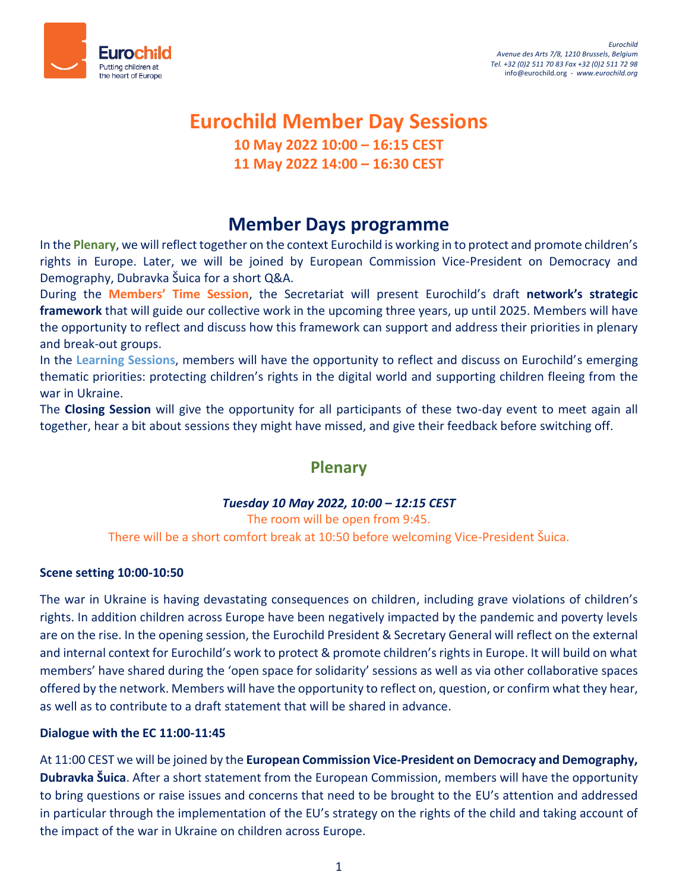

# **Eurochild Member Day Sessions 10 May 2022 10:00 – 16:15 CEST**

# **11 May 2022 14:00 – 16:30 CEST**

# **Member Days programme**

In the **Plenary**, we will reflect together on the context Eurochild is working in to protect and promote children's rights in Europe. Later, we will be joined by European Commission Vice-President on Democracy and Demography, Dubravka Šuica for a short Q&A.

During the **Members' Time Session**, the Secretariat will present Eurochild's draft **network's strategic framework** that will guide our collective work in the upcoming three years, up until 2025. Members will have the opportunity to reflect and discuss how this framework can support and address their priorities in plenary and break-out groups.

In the **Learning Sessions**, members will have the opportunity to reflect and discuss on Eurochild's emerging thematic priorities: protecting children's rights in the digital world and supporting children fleeing from the war in Ukraine.

The **Closing Session** will give the opportunity for all participants of these two-day event to meet again all together, hear a bit about sessions they might have missed, and give their feedback before switching off.

# **Plenary**

# *Tuesday 10 May 2022, 10:00 – 12:15 CEST*

The room will be open from 9:45. There will be a short comfort break at 10:50 before welcoming Vice-President Šuica.

## **Scene setting 10:00-10:50**

The war in Ukraine is having devastating consequences on children, including grave violations of children's rights. In addition children across Europe have been negatively impacted by the pandemic and poverty levels are on the rise. In the opening session, the Eurochild President & Secretary General will reflect on the external and internal context for Eurochild's work to protect & promote children's rights in Europe. It will build on what members' have shared during the 'open space for solidarity' sessions as well as via other collaborative spaces offered by the network. Members will have the opportunity to reflect on, question, or confirm what they hear, as well as to contribute to a draft statement that will be shared in advance.

## **Dialogue with the EC 11:00-11:45**

At 11:00 CEST we will be joined by the **European Commission Vice-President on Democracy and Demography, Dubravka Šuica**. After a short statement from the European Commission, members will have the opportunity to bring questions or raise issues and concerns that need to be brought to the EU's attention and addressed in particular through the implementation of the EU's strategy on the rights of the child and taking account of the impact of the war in Ukraine on children across Europe.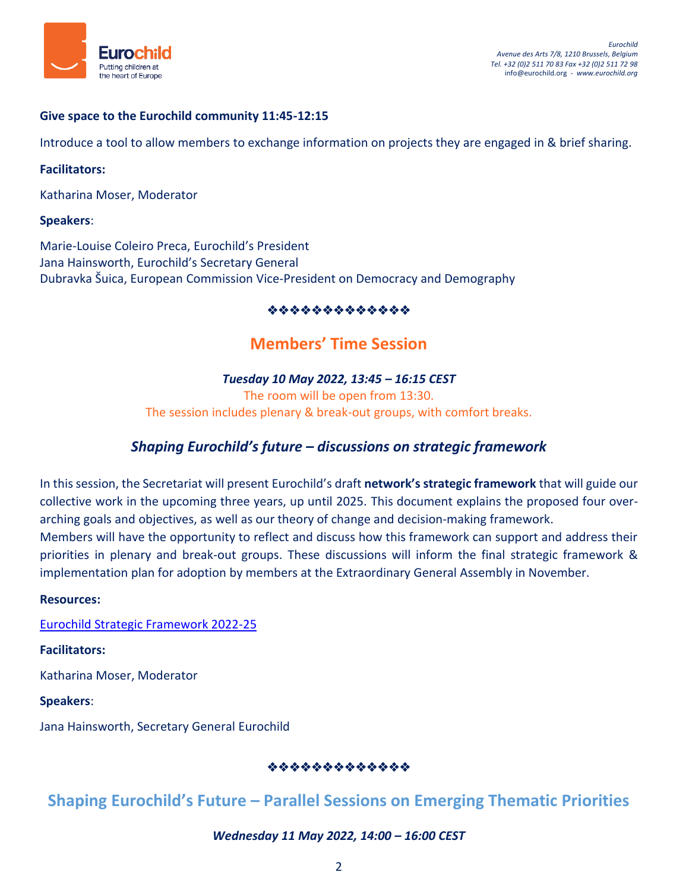

## **Give space to the Eurochild community 11:45-12:15**

Introduce a tool to allow members to exchange information on projects they are engaged in & brief sharing.

#### **Facilitators:**

Katharina Moser, Moderator

#### **Speakers**:

Marie-Louise Coleiro Preca, Eurochild's President Jana Hainsworth, Eurochild's Secretary General Dubravka Šuica, European Commission Vice-President on Democracy and Demography

## \*\*\*\*\*\*\*\*\*\*\*\*\*

# **Members' Time Session**

## *Tuesday 10 May 2022, 13:45 – 16:15 CEST*

The room will be open from 13:30. The session includes plenary & break-out groups, with comfort breaks.

# *Shaping Eurochild's future – discussions on strategic framework*

In this session, the Secretariat will present Eurochild's draft **network's strategic framework** that will guide our collective work in the upcoming three years, up until 2025. This document explains the proposed four overarching goals and objectives, as well as our theory of change and decision-making framework. Members will have the opportunity to reflect and discuss how this framework can support and address their priorities in plenary and break-out groups. These discussions will inform the final strategic framework & implementation plan for adoption by members at the Extraordinary General Assembly in November.

#### **Resources:**

[Eurochild Strategic Framework 2022-25](https://eurochild.org/uploads/2022/04/Eurochild-Strategic-Framework-2022-25.pdf)

**Facilitators:**

Katharina Moser, Moderator

**Speakers**:

Jana Hainsworth, Secretary General Eurochild

## \*\*\*\*\*\*\*\*\*\*\*\*\*

# **Shaping Eurochild's Future – Parallel Sessions on Emerging Thematic Priorities**

## *Wednesday 11 May 2022, 14:00 – 16:00 CEST*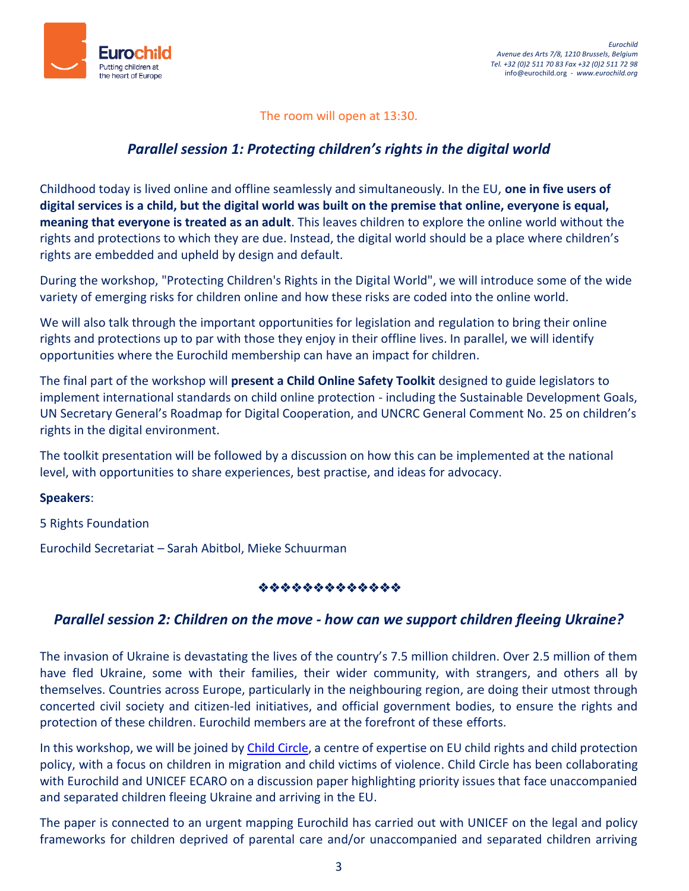

## The room will open at 13:30.

# *Parallel session 1: Protecting children's rights in the digital world*

Childhood today is lived online and offline seamlessly and simultaneously. In the EU, **one in five users of digital services is a child, but the digital world was built on the premise that online, everyone is equal, meaning that everyone is treated as an adult**. This leaves children to explore the online world without the rights and protections to which they are due. Instead, the digital world should be a place where children's rights are embedded and upheld by design and default.

During the workshop, "Protecting Children's Rights in the Digital World", we will introduce some of the wide variety of emerging risks for children online and how these risks are coded into the online world.

We will also talk through the important opportunities for legislation and regulation to bring their online rights and protections up to par with those they enjoy in their offline lives. In parallel, we will identify opportunities where the Eurochild membership can have an impact for children.

The final part of the workshop will **present a Child Online Safety Toolkit** designed to guide legislators to implement international standards on child online protection - including the Sustainable Development Goals, UN Secretary General's Roadmap for Digital Cooperation, and UNCRC General Comment No. 25 on children's rights in the digital environment.

The toolkit presentation will be followed by a discussion on how this can be implemented at the national level, with opportunities to share experiences, best practise, and ideas for advocacy.

## **Speakers**:

5 Rights Foundation

Eurochild Secretariat – Sarah Abitbol, Mieke Schuurman

## \*\*\*\*\*\*\*\*\*\*\*\*\*

## *Parallel session 2: Children on the move - how can we support children fleeing Ukraine?*

The invasion of Ukraine is devastating the lives of the country's 7.5 million children. Over 2.5 million of them have fled Ukraine, some with their families, their wider community, with strangers, and others all by themselves. Countries across Europe, particularly in the neighbouring region, are doing their utmost through concerted civil society and citizen-led initiatives, and official government bodies, to ensure the rights and protection of these children. Eurochild members are at the forefront of these efforts.

In this workshop, we will be joined by [Child Circle,](http://www.childcircle.eu/) a centre of expertise on EU child rights and child protection policy, with a focus on children in migration and child victims of violence. Child Circle has been collaborating with Eurochild and UNICEF ECARO on a discussion paper highlighting priority issues that face unaccompanied and separated children fleeing Ukraine and arriving in the EU.

The paper is connected to an urgent mapping Eurochild has carried out with UNICEF on the legal and policy frameworks for children deprived of parental care and/or unaccompanied and separated children arriving